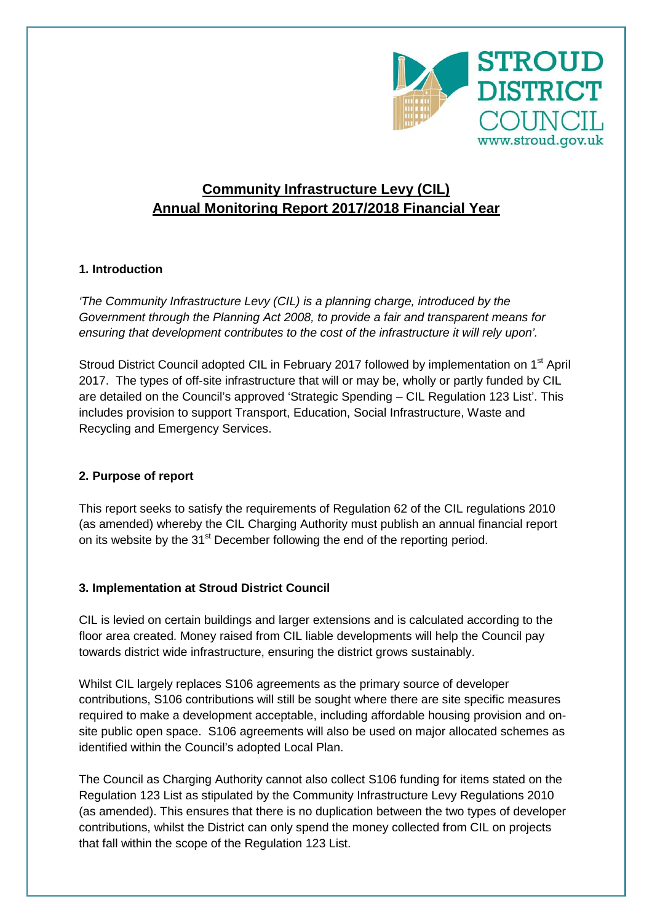

# **Community Infrastructure Levy (CIL) Annual Monitoring Report 2017/2018 Financial Year**

# **1. Introduction**

'The Community Infrastructure Levy (CIL) is a planning charge, introduced by the Government through the Planning Act 2008, to provide a fair and transparent means for ensuring that development contributes to the cost of the infrastructure it will rely upon'.

Stroud District Council adopted CIL in February 2017 followed by implementation on 1<sup>st</sup> April 2017. The types of off-site infrastructure that will or may be, wholly or partly funded by CIL are detailed on the Council's approved 'Strategic Spending – CIL Regulation 123 List'. This includes provision to support Transport, Education, Social Infrastructure, Waste and Recycling and Emergency Services.

#### **2. Purpose of report**

This report seeks to satisfy the requirements of Regulation 62 of the CIL regulations 2010 (as amended) whereby the CIL Charging Authority must publish an annual financial report on its website by the 31<sup>st</sup> December following the end of the reporting period.

#### **3. Implementation at Stroud District Council**

CIL is levied on certain buildings and larger extensions and is calculated according to the floor area created. Money raised from CIL liable developments will help the Council pay towards district wide infrastructure, ensuring the district grows sustainably.

Whilst CIL largely replaces S106 agreements as the primary source of developer contributions, S106 contributions will still be sought where there are site specific measures required to make a development acceptable, including affordable housing provision and onsite public open space. S106 agreements will also be used on major allocated schemes as identified within the Council's adopted Local Plan.

The Council as Charging Authority cannot also collect S106 funding for items stated on the Regulation 123 List as stipulated by the Community Infrastructure Levy Regulations 2010 (as amended). This ensures that there is no duplication between the two types of developer contributions, whilst the District can only spend the money collected from CIL on projects that fall within the scope of the Regulation 123 List.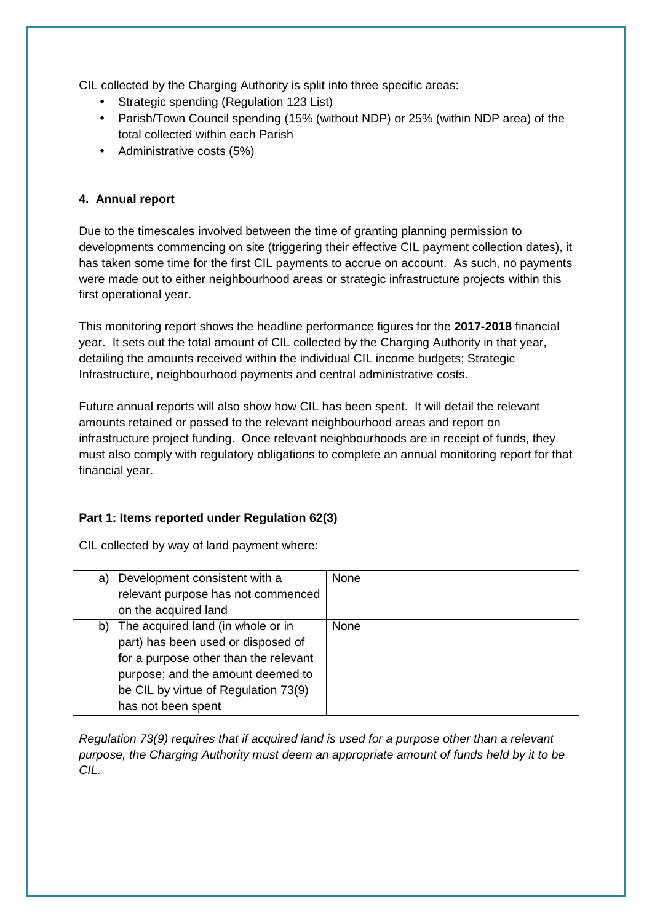CIL collected by the Charging Authority is split into three specific areas:

- Strategic spending (Regulation 123 List)
- Parish/Town Council spending (15% (without NDP) or 25% (within NDP area) of the total collected within each Parish
- Administrative costs (5%)

## **4. Annual report**

Due to the timescales involved between the time of granting planning permission to developments commencing on site (triggering their effective CIL payment collection dates), it has taken some time for the first CIL payments to accrue on account. As such, no payments were made out to either neighbourhood areas or strategic infrastructure projects within this first operational year.

This monitoring report shows the headline performance figures for the **2017-2018** financial year. It sets out the total amount of CIL collected by the Charging Authority in that year, detailing the amounts received within the individual CIL income budgets; Strategic Infrastructure, neighbourhood payments and central administrative costs.

Future annual reports will also show how CIL has been spent. It will detail the relevant amounts retained or passed to the relevant neighbourhood areas and report on infrastructure project funding. Once relevant neighbourhoods are in receipt of funds, they must also comply with regulatory obligations to complete an annual monitoring report for that financial year.

#### **Part 1: Items reported under Regulation 62(3)**

CIL collected by way of land payment where:

| a) | Development consistent with a         | None        |
|----|---------------------------------------|-------------|
|    | relevant purpose has not commenced    |             |
|    | on the acquired land                  |             |
|    | b) The acquired land (in whole or in  | <b>None</b> |
|    | part) has been used or disposed of    |             |
|    | for a purpose other than the relevant |             |
|    | purpose; and the amount deemed to     |             |
|    | be CIL by virtue of Regulation 73(9)  |             |
|    | has not been spent                    |             |

Regulation 73(9) requires that if acquired land is used for a purpose other than a relevant purpose, the Charging Authority must deem an appropriate amount of funds held by it to be CIL.